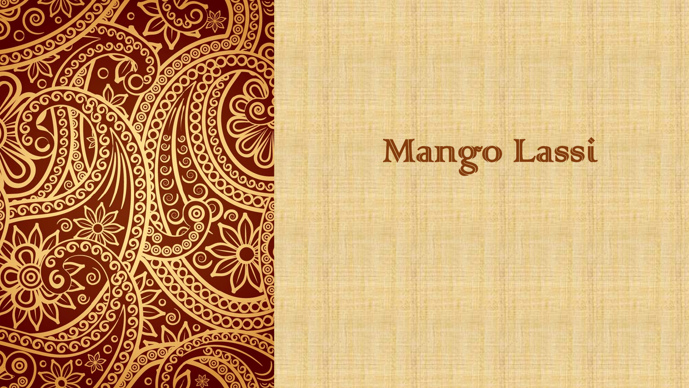

Mango Lassi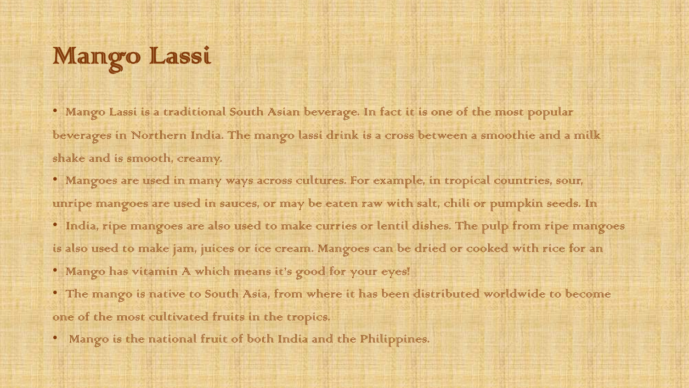## Mango Lassi

• Mango Lassi is a traditional South Asian beverage. In fact it is one of the most popular beverages in Northern India. The mango lassi drink is a cross between a smoothie and a milk shake and is smooth, creamy.

• Mangoes are used in many ways across cultures. For example, in tropical countries, sour, unripe mangoes are used in sauces, or may be eaten raw with salt, chili or pumpkin seeds. In • India, ripe mangoes are also used to make curries or lentil dishes. The pulp from ripe mangoes

is also used to make jam, juices or ice cream. Mangoes can be dried or cooked with rice for an

• Mango has vitamin A which means it's good for your eyes!

• The mango is native to South Asia, from where it has been distributed worldwide to become one of the most cultivated fruits in the tropics.

• Mango is the mational fruit of both India and the Philippines.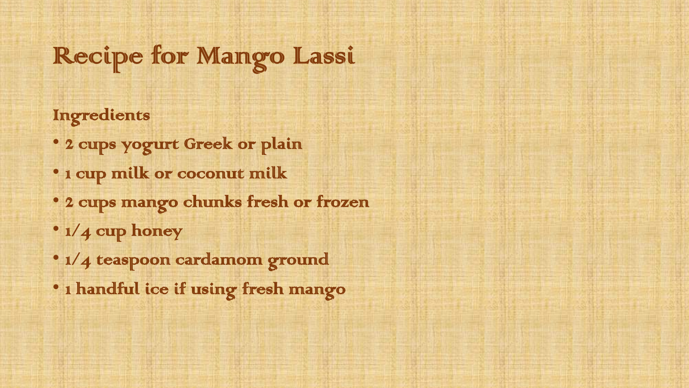## Recipe for Mango Lassi

Ingredients

- 2 cups yogurt Greek or plain
- 1 cup milk or coconut milk
- 2 cups mango chunks fresh or frozen
- $1/4$  curp honey
- $1/4$  teaspoon cardamom ground
- 1 handful ice if using fresh mango